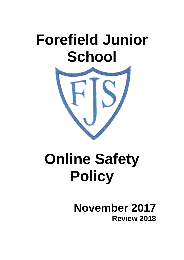# **Forefield Junior School**



# **Online Safety Policy**

# **November 2017 Review 2018**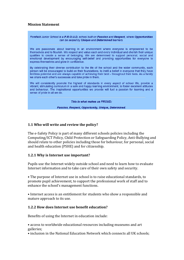#### **Mission Statement**

#### Forefield Junior School is a P.R.O.U.D. school built on Passion and Respect, where Opportunities can be seized by Unique and Determined learners.

We are passionate about learning in an environment where everyone is empowered to be themselves and to flourish. We respect and value each and every individual and cherish their unique qualities to create a sense of belonging. We are determined to support personal, social and emotional development by encouraging self-belief and providing opportunities for everyone to express themselves and grow in confidence.

By celebrating their diverse contribution to the life of the school and the wider community, each person will be encouraged to build on their foundations, to instil a belief in everyone that they have limitless potential and are always capable of achieving their best - throughout their lives. As a family we share each other's successes and take pride in them.

We will consistently promote the highest of standards in every aspect of school life, provide a vibrant, stimulating curriculum in a safe and happy learning environment, to foster excellent attitudes and behaviour. The inspirational opportunities we provide will fuel a passion for learning and a sense of pride in all we do.

This is what makes us PROUD:

Passion, Respect, Opportunity, Unique, Determined.

#### **1.1 Who will write and review the policy?**

The e-Safety Policy is part of many different schools policies including the Computing/ICT Policy, Child Protection or Safeguarding Policy, Anti-Bullying and should relate to other policies including those for behaviour, for personal, social and health education (PSHE) and for citizenship.

#### **1.2.1 Why is Internet use important?**

Pupils use the Internet widely outside school and need to learn how to evaluate Internet information and to take care of their own safety and security.

• The purpose of Internet use in school is to raise educational standards, to promote pupil achievement, to support the professional work of staff and to enhance the school's management functions.

• Internet access is an entitlement for students who show a responsible and mature approach to its use.

#### **1.2.2 How does Internet use benefit education?**

Benefits of using the Internet in education include:

• access to worldwide educational resources including museums and art galleries;

• inclusion in the National Education Network which connects all UK schools;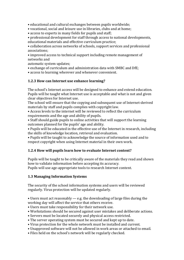• educational and cultural exchanges between pupils worldwide;

- vocational, social and leisure use in libraries, clubs and at home;
- access to experts in many fields for pupils and staff;
- professional development for staff through access to national developments, educational materials and effective curriculum practice;

• collaboration across networks of schools, support services and professional associations;

• improved access to technical support including remote management of networks and

automatic system updates;

- exchange of curriculum and administration data with SMBC and DfE;
- access to learning wherever and whenever convenient.

# **1.2.3 How can Internet use enhance learning?**

The school's Internet access will be designed to enhance and extend education. Pupils will be taught what Internet use is acceptable and what is not and given clear objectives for Internet use.

The school will ensure that the copying and subsequent use of Internet-derived materials by staff and pupils complies with copyright law.

• Access levels to the internet will be reviewed to reflect the curriculum requirements and the age and ability of pupils.

• Staff should guide pupils to online activities that will support the learning outcomes planned for the pupils' age and ability.

• Pupils will be educated in the effective use of the Internet in research, including the skills of knowledge location, retrieval and evaluation.

• Pupils will be taught to acknowledge the source of information used and to respect copyright when using Internet material in their own work.

# **1.2.4 How will pupils learn how to evaluate Internet content?**

Pupils will be taught to be critically aware of the materials they read and shown how to validate information before accepting its accuracy. Pupils will use age-appropriate tools to research Internet content.

# **1.3 Managing Information Systems**

The security of the school information systems and users will be reviewed regularly. Virus protection will be updated regularly.

• Users must act reasonably  $-$  e.g. the downloading of large files during the working day will affect the service that others receive.

- Users must take responsibility for their network use.
- Workstations should be secured against user mistakes and deliberate actions.
- Servers must be located securely and physical access restricted.
- The server operating system must be secured and kept up to date.
- Virus protection for the whole network must be installed and current.
- Unapproved software will not be allowed in work areas or attached to email.
- Files held on the school's network will be regularly checked.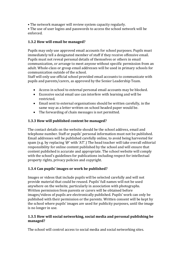• The network manager will review system capacity regularly.

• The use of user logins and passwords to access the school network will be enforced.

# **1.3.2 How will email be managed?**

Pupils may only use approved email accounts for school purposes. Pupils must immediately tell a designated member of staff if they receive offensive email. Pupils must not reveal personal details of themselves or others in email communication, or arrange to meet anyone without specific permission from an adult. Whole-class or group email addresses will be used in primary schools for communication outside of the school.

Staff will only use official school provided email accounts to communicate with pupils and parents/carers, as approved by the Senior Leadership Team.

- Access in school to external personal email accounts may be blocked.
- Excessive social email use can interfere with learning and will be restricted.
- Email sent to external organisations should be written carefully, in the same way as a letter written on school headed paper would be.
- The forwarding of chain messages is not permitted.

# **1.3.3 How will published content be managed?**

The contact details on the website should be the school address, email and telephone number. Staff or pupils' personal information must not be published. Email addresses will be published carefully online, to avoid being harvested for spam (e.g. by replacing '@' with 'AT'.) The head teacher will take overall editorial responsibility for online content published by the school and will ensure that content published is accurate and appropriate. The school website will comply with the school's guidelines for publications including respect for intellectual property rights, privacy policies and copyright.

# **1.3.4 Can pupils' images or work be published?**

Images or videos that include pupils will be selected carefully and will not provide material that could be reused. Pupils' full names will not be used anywhere on the website, particularly in association with photographs. Written permission from parents or carers will be obtained before images/videos of pupils are electronically published. Pupils' work can only be published with their permission or the parents. Written consent will be kept by the school where pupils' images are used for publicity purposes, until the image is no longer in use.

### **1.3.5 How will social networking, social media and personal publishing be managed?**

The school will control access to social media and social networking sites.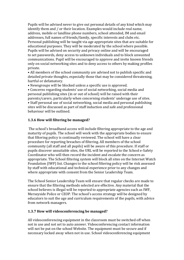Pupils will be advised never to give out personal details of any kind which may identify them and / or their location. Examples would include real name, address, mobile or landline phone numbers, school attended, IM and email addresses, full names of friends/family, specific interests and clubs etc. Personal publishing will be taught via age appropriate sites that are suitable for educational purposes. They will be moderated by the school where possible. Pupils will be advised on security and privacy online and will be encouraged to set passwords, deny access to unknown individuals and to block unwanted communications. Pupil will be encouraged to approve and invite known friends only on social networking sites and to deny access to others by making profiles private.

• All members of the school community are advised not to publish specific and detailed private thoughts, especially those that may be considered threatening, hurtful or defamatory.

• Newsgroups will be blocked unless a specific use is approved.

• Concerns regarding students' use of social networking, social media and personal publishing sites (in or out of school) will be raised with their parents/carers, particularly when concerning students' underage use of sites. • Staff personal use of social networking, social media and personal publishing sites will be discussed as part of staff induction and safe and professional behaviour will be outlined.

#### **1.3.6 How will filtering be managed?**

The school's broadband access will include filtering appropriate to the age and maturity of pupils. The school will work with the appropriate bodies to ensure that filtering policy is continually reviewed. The school will have a clear procedure for reporting breaches of filtering. All members of the school community (all staff and all pupils) will be aware of this procedure. If staff or pupils discover unsuitable sites, the URL will be reported to the School e-Safety Coordinator who will then record the incident and escalate the concern as appropriate. The School filtering system will block all sites on the Internet Watch Foundation (IWF) list. Changes to the school filtering policy will be risk assessed by staff with educational and technical experience prior to any changes and where appropriate with consent from the Senior Leadership Team.

The School Senior Leadership Team will ensure that regular checks are made to ensure that the filtering methods selected are effective. Any material that the school believes is illegal will be reported to appropriate agencies such as IWF, Merseyside Police or CEOP. The school's access strategy will be designed by educators to suit the age and curriculum requirements of the pupils, with advice from network managers.

#### **1.3.7 How will videoconferencing be managed?**

All videoconferencing equipment in the classroom must be switched off when not in use and not set to auto answer. Videoconferencing contact information will not be put on the school Website. The equipment must be secure and if necessary locked away when not in use. School videoconferencing equipment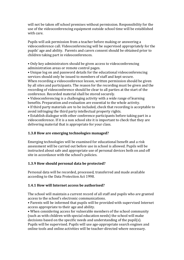will not be taken off school premises without permission. Responsibility for the use of the videoconferencing equipment outside school time will be established with care.

Pupils will ask permission from a teacher before making or answering a videoconference call. Videoconferencing will be supervised appropriately for the pupils' age and ability. Parents and carers consent should be obtained prior to children taking part in videoconferences.

• Only key administrators should be given access to videoconferencing administration areas or remote control pages.

• Unique log on and password details for the educational videoconferencing services should only be issued to members of staff and kept secure. When recording a videoconference lesson, written permission should be given by all sites and participants. The reason for the recording must be given and the recording of videoconference should be clear to all parties at the start of the conference. Recorded material shall be stored securely.

• Videoconferencing is a challenging activity with a wide range of learning benefits. Preparation and evaluation are essential to the whole activity.

• If third party materials are to be included, check that recording is acceptable to avoid infringing the third party intellectual property rights.

• Establish dialogue with other conference participants before taking part in a videoconference. If it is a non school site it is important to check that they are delivering material that is appropriate for your class.

# **1.3.8 How are emerging technologies managed?**

Emerging technologies will be examined for educational benefit and a risk assessment will be carried out before use in school is allowed. Pupils will be instructed about safe and appropriate use of personal devices both on and off site in accordance with the school's policies.

# **1.3.9 How should personal data be protected?**

Personal data will be recorded, processed, transferred and made available according to the Data Protection Act 1998.

# **1.4.1 How will Internet access be authorised?**

The school will maintain a current record of all staff and pupils who are granted access to the school's electronic communications.

• Parents will be informed that pupils will be provided with supervised Internet access appropriate to their age and ability.

• When considering access for vulnerable members of the school community (such as with children with special education needs) the school will make decisions based on the specific needs and understanding of the pupil(s).

Pupils will be supervised. Pupils will use age-appropriate search engines and online tools and online activities will be teacher-directed where necessary.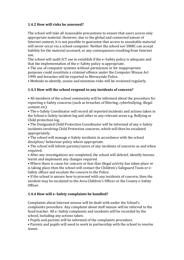# **1.4.2 How will risks be assessed?**

The school will take all reasonable precautions to ensure that users access only appropriate material. However, due to the global and connected nature of Internet content, it is not possible to guarantee that access to unsuitable material will never occur via a school computer. Neither the school nor SMBC can accept liability for the material accessed, or any consequences resulting from Internet use.

The school will audit ICT use to establish if the e–Safety policy is adequate and that the implementation of the e–Safety policy is appropriate.

• The use of computer systems without permission or for inappropriate purposes could constitute a criminal offence under the Computer Misuse Act 1990 and breaches will be reported to Merseyside Police.

• Methods to identify, assess and minimise risks will be reviewed regularly.

# **1.4.3 How will the school respond to any incidents of concern?**

• All members of the school community will be informed about the procedure for reporting e-Safety concerns (such as breaches of filtering, cyberbullying, illegal content etc).

• The e-Safety Coordinator will record all reported incidents and actions taken in the School e-Safety incident log and other in any relevant areas e.g. Bullying or Child protection log.

• The Designated Child Protection Coordinator will be informed of any e-Safety incidents involving Child Protection concerns, which will then be escalated appropriately.

• The school will manage e-Safety incidents in accordance with the school discipline/ behaviour policy where appropriate.

• The school will inform parents/carers of any incidents of concerns as and when required.

• After any investigations are completed, the school will debrief, identify lessons learnt and implement any changes required.

• Where there is cause for concern or fear that illegal activity has taken place or is taking place then the school will contact the Children's Safeguard Team or e-Safety officer and escalate the concern to the Police.

• If the school is unsure how to proceed with any incidents of concern, then the incident may be escalated to the Area Children's Officer or the County e-Safety Officer.

# **1.4.4 How will e–Safety complaints be handled?**

Complaints about Internet misuse will be dealt with under the School's complaints procedure. Any complaint about staff misuse will be referred to the head teacher. All e–Safety complaints and incidents will be recorded by the school, including any actions taken.

• Pupils and parents will be informed of the complaints procedure.

• Parents and pupils will need to work in partnership with the school to resolve issues.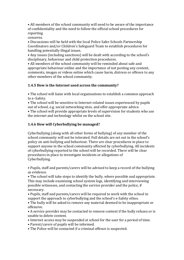• All members of the school community will need to be aware of the importance of confidentiality and the need to follow the official school procedures for reporting

concerns.

• Discussions will be held with the local Police Safer Schools Partnership Coordinators and/or Children's Safeguard Team to establish procedures for handling potentially illegal issues.

• Any issues (including sanctions) will be dealt with according to the school's disciplinary, behaviour and child protection procedures.

• All members of the school community will be reminded about safe and appropriate behaviour online and the importance of not posting any content, comments, images or videos online which cause harm, distress or offence to any other members of the school community.

# **1.4.5 How is the Internet used across the community?**

• The school will liaise with local organisations to establish a common approach to e–Safety.

• The school will be sensitive to Internet-related issues experienced by pupils out of school, e.g. social networking sites, and offer appropriate advice.

• The school will provide appropriate levels of supervision for students who use the internet and technology whilst on the school site.

# **1.4.6 How will Cyberbullying be managed?**

Cyberbullying (along with all other forms of bullying) of any member of the school community will not be tolerated. Full details are set out in the school's policy on anti-bullying and behaviour. There are clear procedures in place to support anyone in the school community affected by cyberbullying. All incidents of cyberbullying reported to the school will be recorded. There will be clear procedures in place to investigate incidents or allegations of Cyberbullying.

• Pupils, staff and parents/carers will be advised to keep a record of the bullying as evidence.

• The school will take steps to identify the bully, where possible and appropriate. This may include examining school system logs, identifying and interviewing possible witnesses, and contacting the service provider and the police, if necessary.

• Pupils, staff and parents/carers will be required to work with the school to support the approach to cyberbullying and the school's e-Safety ethos.

• The bully will be asked to remove any material deemed to be inappropriate or offensive.

• A service provider may be contacted to remove content if the bully refuses or is unable to delete content.

• Internet access may be suspended at school for the user for a period of time.

- Parent/carers of pupils will be informed.
- The Police will be contacted if a criminal offence is suspected.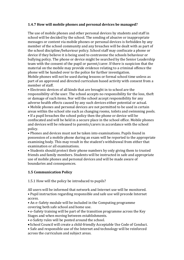### **1.4.7 How will mobile phones and personal devices be managed?**

The use of mobile phones and other personal devices by students and staff in school will be decided by the school. The sending of abusive or inappropriate messages or content via mobile phones or personal devices is forbidden by any member of the school community and any breaches will be dealt with as part of the school discipline/behaviour policy. School staff may confiscate a phone or device if they believe it is being used to contravene the schools behaviour or bullying policy. The phone or device might be searched by the Senior Leadership team with the consent of the pupil or parent/carer. If there is suspicion that the material on the mobile may provide evidence relating to a criminal offence the phone will be handed over to the police for further investigation. Mobile phones will not be used during lessons or formal school time unless as

part of an approved and directed curriculum based activity with consent from a member of staff.

• Electronic devices of all kinds that are brought in to school are the responsibility of the user. The school accepts no responsibility for the loss, theft or damage of such items. Nor will the school accept responsibility for any adverse health effects caused by any such devices either potential or actual.

• Mobile phones and personal devices are not permitted to be used in certain areas within the school site such as changing rooms, toilets and swimming pools.

• If a pupil breaches the school policy then the phone or device will be confiscated and will be held in a secure place in the school office. Mobile phones and devices will be released to parents/carers in accordance with the school policy.

• Phones and devices must not be taken into examinations. Pupils found in possession of a mobile phone during an exam will be reported to the appropriate examining body. This may result in the student's withdrawal from either that examination or all examinations.

• Students should protect their phone numbers by only giving them to trusted friends and family members. Students will be instructed in safe and appropriate use of mobile phones and personal devices and will be made aware of boundaries and consequences.

#### **1.5 Communication Policy**

1.5.1 How will the policy be introduced to pupils?

All users will be informed that network and Internet use will be monitored. • Pupil instruction regarding responsible and safe use will precede Internet access.

• An e–Safety module will be included in the Computing programme covering both safe school and home use.

• e–Safety training will be part of the transition programme across the Key Stages and when moving between establishments.

• e-Safety rules will be posted around the school.

School Council will create a child-friendly Acceptable Use Code of Conduct.

• Safe and responsible use of the Internet and technology will be reinforced across the curriculum and subject areas.